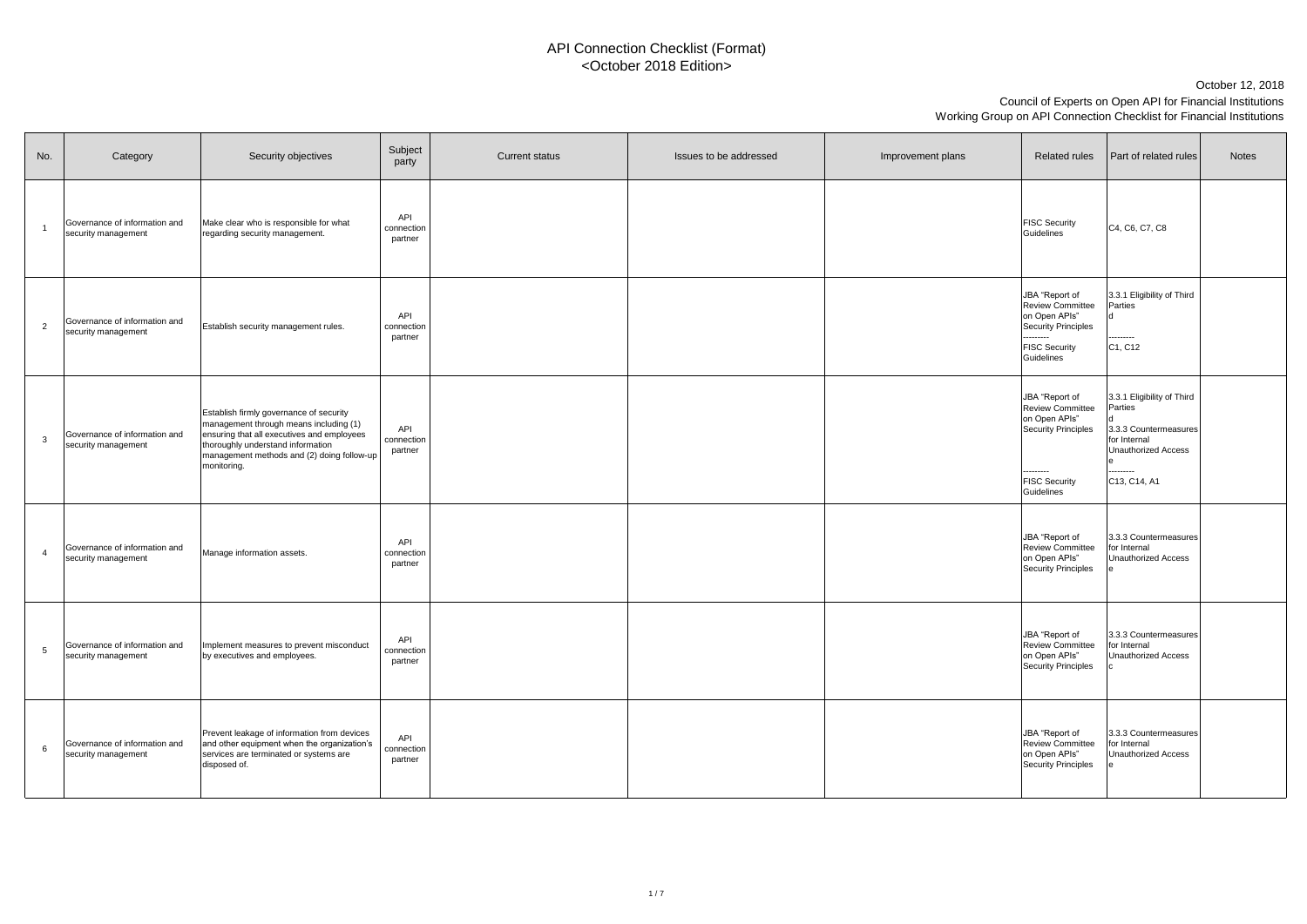# Council of Experts on Open API for Financial Institutions Working Group on API Connection Checklist for Financial Institutions October 12, 2018



| No.             | Category                                             | Security objectives                                                                                                                                                                                                               | Subject<br>party                    | <b>Current status</b> | Issues to be addressed | Improvement plans | <b>Related rules</b>                                                                                                                 | <b>Part of related rules</b>                                                                                                                 | <b>Notes</b> |
|-----------------|------------------------------------------------------|-----------------------------------------------------------------------------------------------------------------------------------------------------------------------------------------------------------------------------------|-------------------------------------|-----------------------|------------------------|-------------------|--------------------------------------------------------------------------------------------------------------------------------------|----------------------------------------------------------------------------------------------------------------------------------------------|--------------|
|                 | Governance of information and<br>security management | Make clear who is responsible for what<br>regarding security management.                                                                                                                                                          | <b>API</b><br>connection<br>partner |                       |                        |                   | <b>FISC Security</b><br>Guidelines                                                                                                   | C <sub>4</sub> , C <sub>6</sub> , C <sub>7</sub> , C <sub>8</sub>                                                                            |              |
| $\overline{2}$  | Governance of information and<br>security management | Establish security management rules.                                                                                                                                                                                              | <b>API</b><br>connection<br>partner |                       |                        |                   | JBA "Report of<br><b>Review Committee</b><br>on Open APIs"<br>Security Principles<br>---------<br><b>FISC Security</b><br>Guidelines | 3.3.1 Eligibility of Third<br>Parties<br>---------<br>C <sub>1</sub> , C <sub>12</sub>                                                       |              |
| $\mathbf{3}$    | Governance of information and<br>security management | Establish firmly governance of security<br>management through means including (1)<br>ensuring that all executives and employees<br>thoroughly understand information<br>management methods and (2) doing follow-up<br>monitoring. | <b>API</b><br>connection<br>partner |                       |                        |                   | JBA "Report of<br><b>Review Committee</b><br>on Open APIs"<br>Security Principles<br>---------<br><b>FISC Security</b><br>Guidelines | 3.3.1 Eligibility of Third<br>Parties<br>3.3.3 Countermeasures<br>for Internal<br><b>Unauthorized Access</b><br>---------<br>$C$ 13, C14, A1 |              |
| 4               | Governance of information and<br>security management | Manage information assets.                                                                                                                                                                                                        | API<br>connection<br>partner        |                       |                        |                   | JBA "Report of<br><b>Review Committee</b><br>on Open APIs"<br>Security Principles                                                    | 3.3.3 Countermeasures<br>for Internal<br>Unauthorized Access                                                                                 |              |
| $5\overline{)}$ | Governance of information and<br>security management | Implement measures to prevent misconduct<br>by executives and employees.                                                                                                                                                          | API<br>connection<br>partner        |                       |                        |                   | JBA "Report of<br><b>Review Committee</b><br>on Open APIs"<br>Security Principles                                                    | 3.3.3 Countermeasures<br>for Internal<br>Unauthorized Access                                                                                 |              |
| 6               | Governance of information and<br>security management | Prevent leakage of information from devices<br>and other equipment when the organization's<br>services are terminated or systems are<br>disposed of.                                                                              | <b>API</b><br>connection<br>partner |                       |                        |                   | JBA "Report of<br><b>Review Committee</b><br>on Open APIs"<br>Security Principles                                                    | 3.3.3 Countermeasures<br>for Internal<br>Unauthorized Access                                                                                 |              |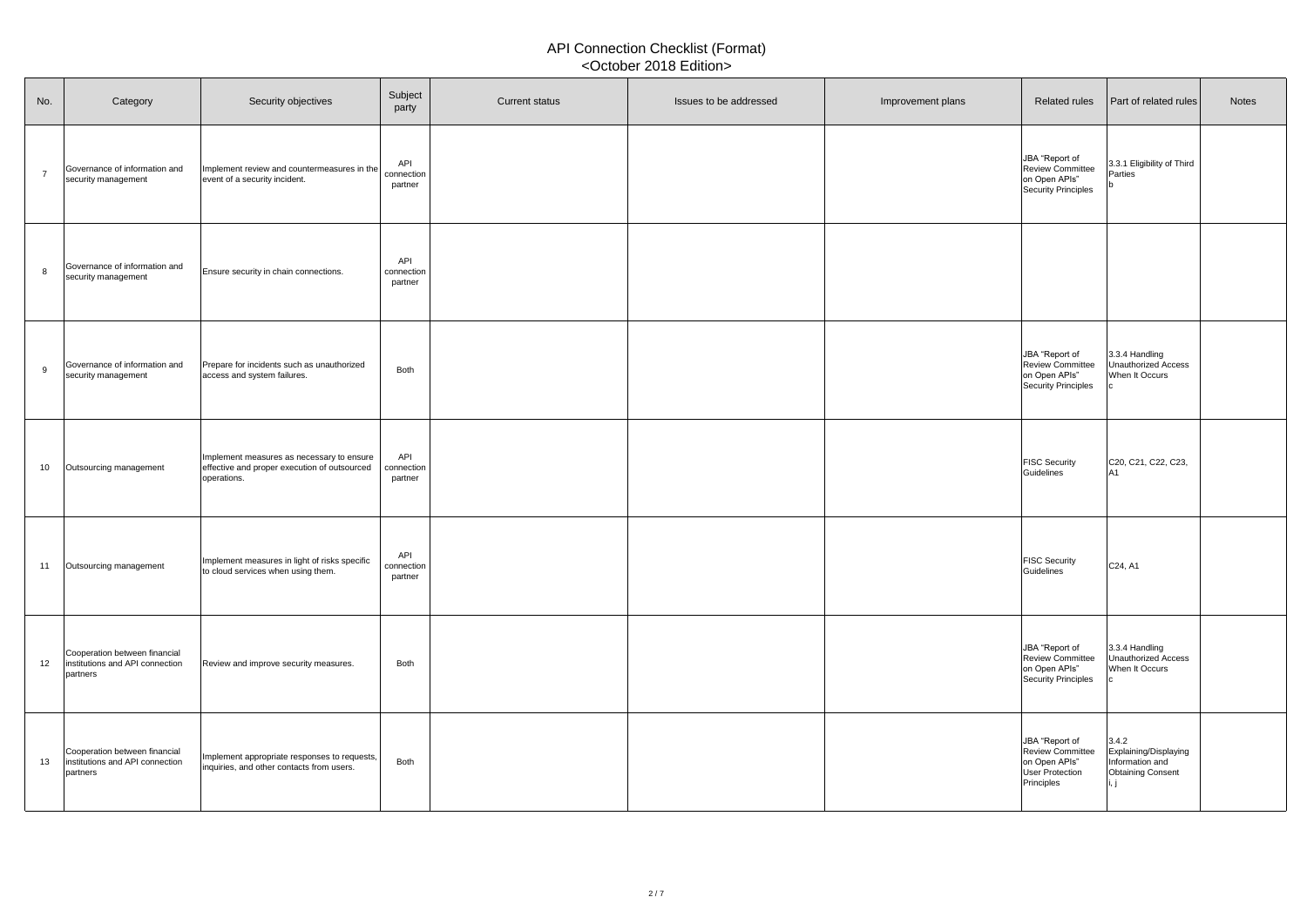| No.             | Category                                                                     | Security objectives                                                                                      | Subject<br>party             | <b>Current status</b> | Issues to be addressed | Improvement plans | Related rules                                                                                      | <b>Part of related rules</b>                                                  | <b>Notes</b> |
|-----------------|------------------------------------------------------------------------------|----------------------------------------------------------------------------------------------------------|------------------------------|-----------------------|------------------------|-------------------|----------------------------------------------------------------------------------------------------|-------------------------------------------------------------------------------|--------------|
|                 | Governance of information and<br>security management                         | Implement review and countermeasures in the<br>event of a security incident.                             | API<br>connection<br>partner |                       |                        |                   | JBA "Report of<br><b>Review Committee</b><br>on Open APIs"<br>Security Principles                  | 3.3.1 Eligibility of Third<br>Parties                                         |              |
|                 | Governance of information and<br>security management                         | Ensure security in chain connections.                                                                    | API<br>connection<br>partner |                       |                        |                   |                                                                                                    |                                                                               |              |
| $\alpha$        | Governance of information and<br>security management                         | Prepare for incidents such as unauthorized<br>access and system failures.                                | <b>Both</b>                  |                       |                        |                   | JBA "Report of<br><b>Review Committee</b><br>on Open APIs"<br>Security Principles                  | 3.3.4 Handling<br>Unauthorized Access<br>When It Occurs                       |              |
| 10 <sup>°</sup> | Outsourcing management                                                       | Implement measures as necessary to ensure<br>effective and proper execution of outsourced<br>operations. | API<br>connection<br>partner |                       |                        |                   | <b>FISC Security</b><br>Guidelines                                                                 | C20, C21, C22, C23,<br>IA1                                                    |              |
| 11              | Outsourcing management                                                       | Implement measures in light of risks specific<br>to cloud services when using them.                      | API<br>connection<br>partner |                       |                        |                   | <b>FISC Security</b><br>Guidelines                                                                 | C <sub>24</sub> , A <sub>1</sub>                                              |              |
| 12              | Cooperation between financial<br>institutions and API connection<br>partners | Review and improve security measures.                                                                    | <b>Both</b>                  |                       |                        |                   | JBA "Report of<br>Review Committee<br>on Open APIs"<br>Security Principles                         | 3.3.4 Handling<br>Unauthorized Access<br>When It Occurs                       |              |
| 13              | Cooperation between financial<br>institutions and API connection<br>partners | Implement appropriate responses to requests,<br>inquiries, and other contacts from users.                | Both                         |                       |                        |                   | JBA "Report of<br><b>Review Committee</b><br>on Open APIs"<br><b>User Protection</b><br>Principles | 3.4.2<br>Explaining/Displaying<br>Information and<br><b>Obtaining Consent</b> |              |

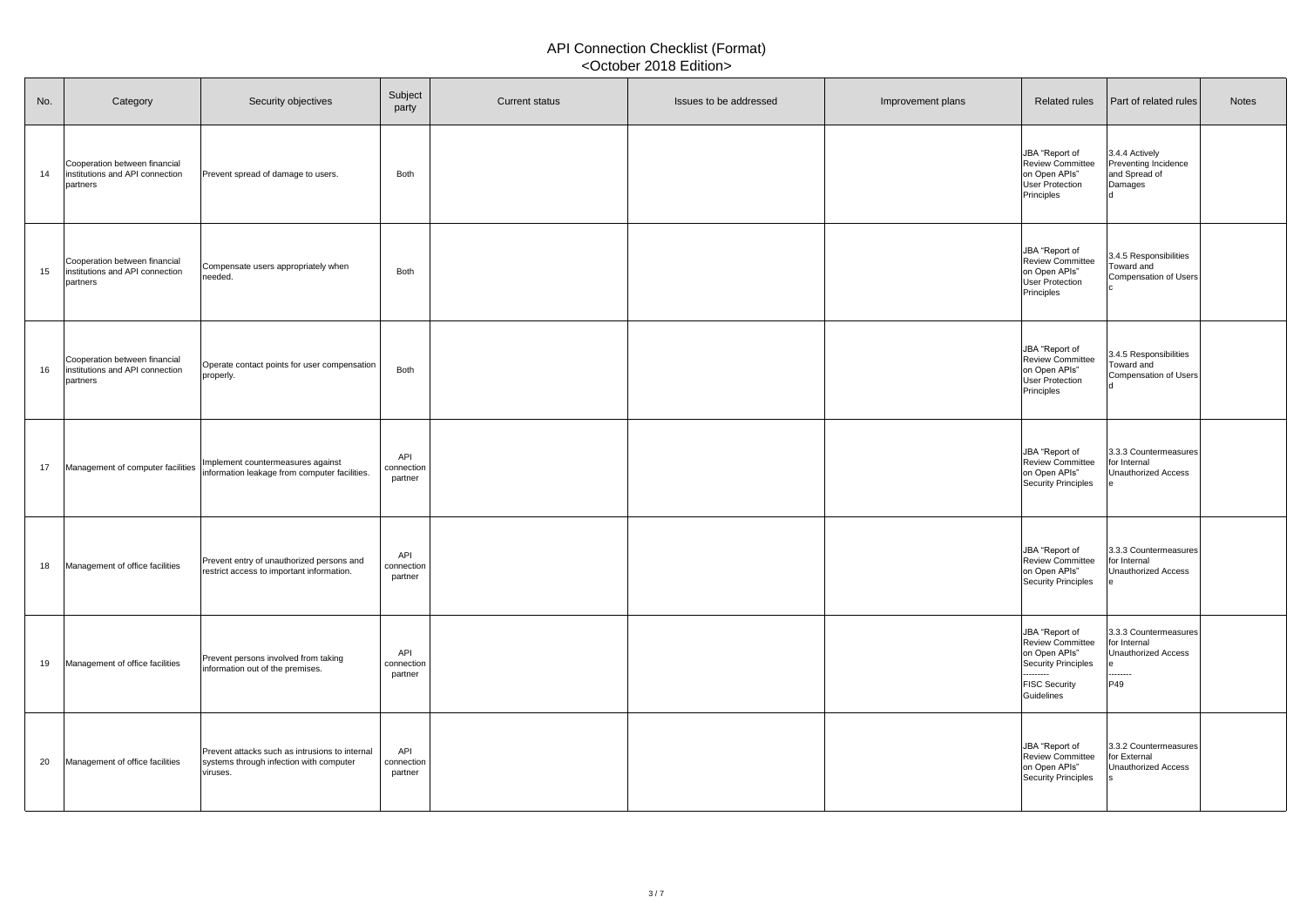| No. | Category                                                                     | Security objectives                                                                                   | Subject<br>party             | <b>Current status</b> | Issues to be addressed | Improvement plans | <b>Related rules</b>                                                                                                                 | <b>Part of related rules</b>                                                    | <b>Notes</b> |
|-----|------------------------------------------------------------------------------|-------------------------------------------------------------------------------------------------------|------------------------------|-----------------------|------------------------|-------------------|--------------------------------------------------------------------------------------------------------------------------------------|---------------------------------------------------------------------------------|--------------|
| 14  | Cooperation between financial<br>institutions and API connection<br>partners | Prevent spread of damage to users.                                                                    | <b>Both</b>                  |                       |                        |                   | JBA "Report of<br><b>Review Committee</b><br>on Open APIs"<br>User Protection<br>Principles                                          | 3.4.4 Actively<br><b>Preventing Incidence</b><br>and Spread of<br>Damages       |              |
| 15  | Cooperation between financial<br>institutions and API connection<br>partners | Compensate users appropriately when<br>needed.                                                        | <b>Both</b>                  |                       |                        |                   | JBA "Report of<br><b>Review Committee</b><br>on Open APIs"<br>User Protection<br>Principles                                          | 3.4.5 Responsibilities<br>Toward and<br>Compensation of Users                   |              |
| 16  | Cooperation between financial<br>institutions and API connection<br>partners | Operate contact points for user compensation<br>properly.                                             | <b>Both</b>                  |                       |                        |                   | JBA "Report of<br><b>Review Committee</b><br>on Open APIs"<br>User Protection<br>Principles                                          | 3.4.5 Responsibilities<br>Toward and<br>Compensation of Users                   |              |
| 17  | Management of computer facilities                                            | Implement countermeasures against<br>information leakage from computer facilities.                    | API<br>connection<br>partner |                       |                        |                   | JBA "Report of<br>Review Committee<br>on Open APIs"<br>Security Principles                                                           | 3.3.3 Countermeasures<br>for Internal<br>Unauthorized Access                    |              |
| 18  | Management of office facilities                                              | Prevent entry of unauthorized persons and<br>restrict access to important information.                | API<br>connection<br>partner |                       |                        |                   | JBA "Report of<br><b>Review Committee</b><br>on Open APIs"<br>Security Principles                                                    | 3.3.3 Countermeasures<br>for Internal<br><b>Unauthorized Access</b>             |              |
| 19  | Management of office facilities                                              | Prevent persons involved from taking<br>information out of the premises.                              | API<br>connection<br>partner |                       |                        |                   | JBA "Report of<br><b>Review Committee</b><br>on Open APIs"<br>Security Principles<br>---------<br><b>FISC Security</b><br>Guidelines | 3.3.3 Countermeasures<br>for Internal<br>Unauthorized Access<br>--------<br>P49 |              |
| 20  | Management of office facilities                                              | Prevent attacks such as intrusions to internal<br>systems through infection with computer<br>viruses. | API<br>connection<br>partner |                       |                        |                   | JBA "Report of<br><b>Review Committee</b><br>on Open APIs"<br>Security Principles                                                    | 3.3.2 Countermeasures<br>for External<br>Unauthorized Access                    |              |

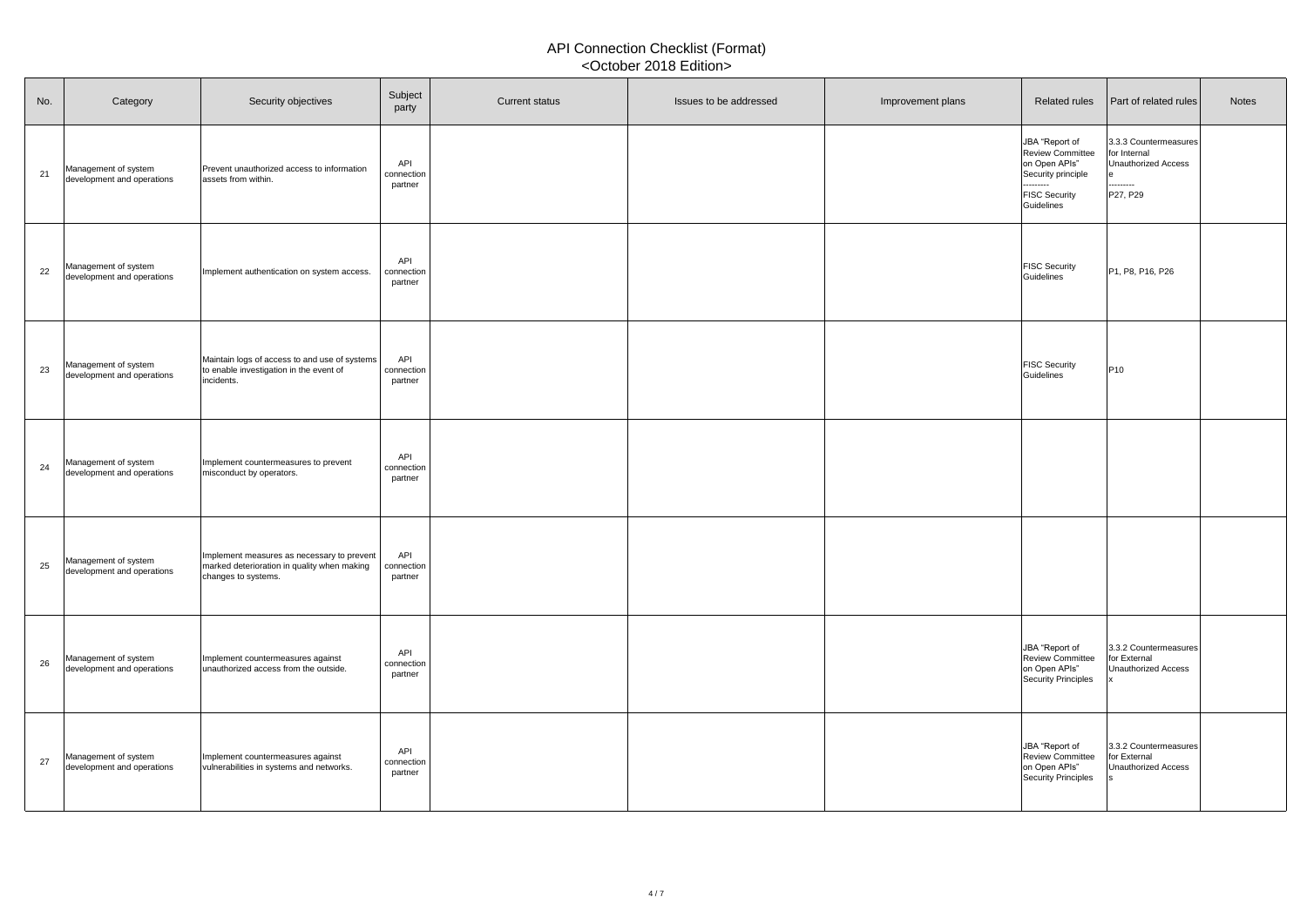| No. | Category                                           | Security objectives                                                                                              | Subject<br>party             | <b>Current status</b> | Issues to be addressed | Improvement plans | <b>Related rules</b>                                                                                                                | <b>Part of related rules</b>                                                 | <b>Notes</b> |
|-----|----------------------------------------------------|------------------------------------------------------------------------------------------------------------------|------------------------------|-----------------------|------------------------|-------------------|-------------------------------------------------------------------------------------------------------------------------------------|------------------------------------------------------------------------------|--------------|
| 21  | Management of system<br>development and operations | Prevent unauthorized access to information<br>assets from within.                                                | API<br>connection<br>partner |                       |                        |                   | JBA "Report of<br><b>Review Committee</b><br>on Open APIs"<br>Security principle<br>---------<br><b>FISC Security</b><br>Guidelines | 3.3.3 Countermeasures<br>for Internal<br>Unauthorized Access<br><br>P27, P29 |              |
| 22  | Management of system<br>development and operations | Implement authentication on system access.                                                                       | API<br>connection<br>partner |                       |                        |                   | <b>FISC Security</b><br>Guidelines                                                                                                  | P <sub>1</sub> , P <sub>8</sub> , P <sub>16</sub> , P <sub>26</sub>          |              |
| 23  | Management of system<br>development and operations | Maintain logs of access to and use of systems<br>to enable investigation in the event of<br>incidents.           | API<br>connection<br>partner |                       |                        |                   | <b>FISC Security</b><br>Guidelines                                                                                                  | P10                                                                          |              |
| 24  | Management of system<br>development and operations | Implement countermeasures to prevent<br>misconduct by operators.                                                 | API<br>connection<br>partner |                       |                        |                   |                                                                                                                                     |                                                                              |              |
| 25  | Management of system<br>development and operations | Implement measures as necessary to prevent<br>marked deterioration in quality when making<br>changes to systems. | API<br>connection<br>partner |                       |                        |                   |                                                                                                                                     |                                                                              |              |
| 26  | Management of system<br>development and operations | Implement countermeasures against<br>unauthorized access from the outside.                                       | API<br>connection<br>partner |                       |                        |                   | JBA "Report of<br><b>Review Committee</b><br>on Open APIs"<br>Security Principles                                                   | 3.3.2 Countermeasures<br>for External<br>Unauthorized Access                 |              |
| 27  | Management of system<br>development and operations | Implement countermeasures against<br>vulnerabilities in systems and networks.                                    | API<br>connection<br>partner |                       |                        |                   | JBA "Report of<br><b>Review Committee</b><br>on Open APIs"<br>Security Principles                                                   | 3.3.2 Countermeasures<br>for External<br>Unauthorized Access                 |              |

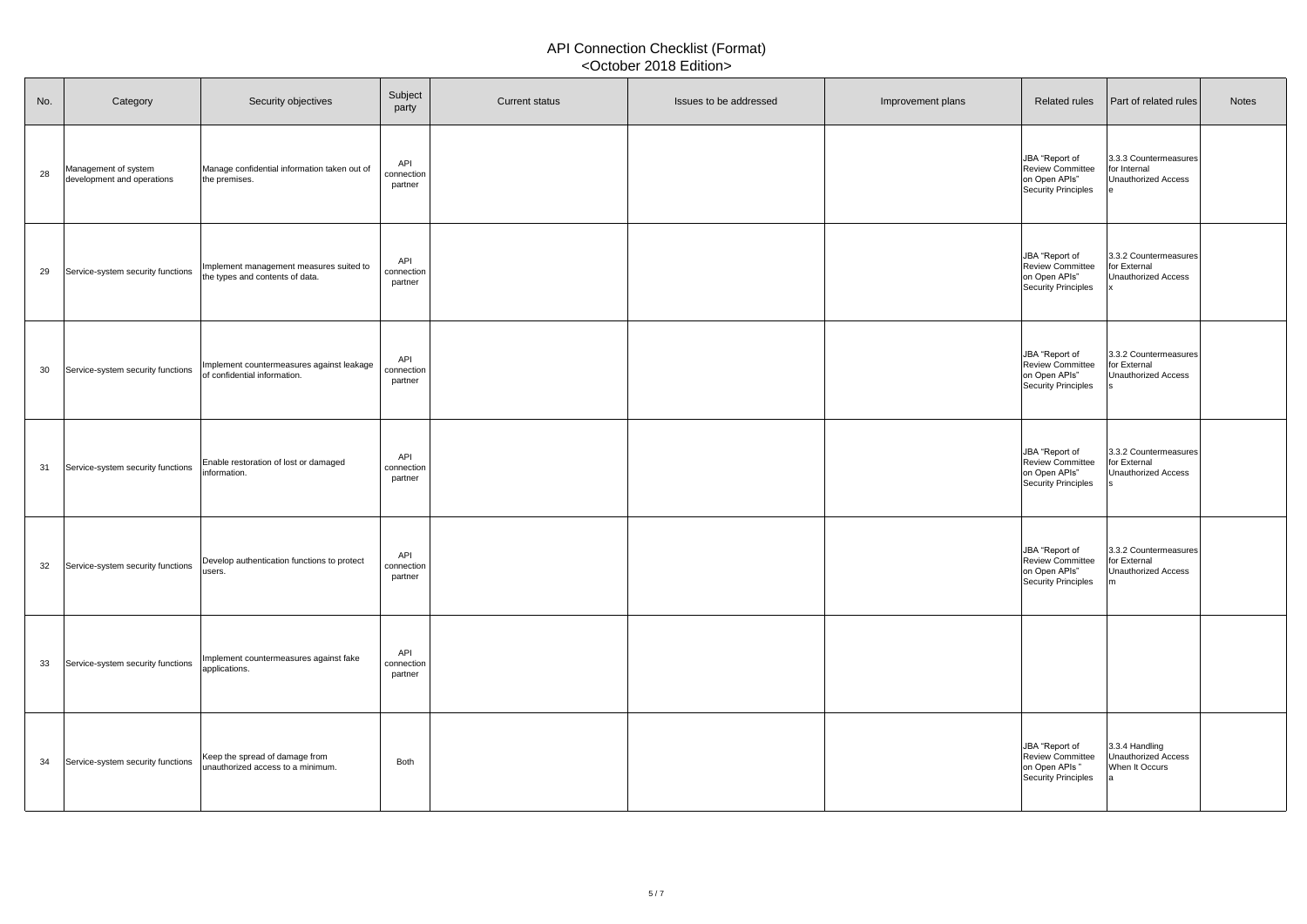| No.             | Category                                           | Security objectives                                                        | Subject<br>party             | <b>Current status</b> | Issues to be addressed | Improvement plans | <b>Related rules</b>                                                              | <b>Part of related rules</b>                                        | <b>Notes</b> |
|-----------------|----------------------------------------------------|----------------------------------------------------------------------------|------------------------------|-----------------------|------------------------|-------------------|-----------------------------------------------------------------------------------|---------------------------------------------------------------------|--------------|
| 28              | Management of system<br>development and operations | Manage confidential information taken out of<br>the premises.              | API<br>connection<br>partner |                       |                        |                   | JBA "Report of<br><b>Review Committee</b><br>on Open APIs"<br>Security Principles | 3.3.3 Countermeasures<br>for Internal<br>Unauthorized Access        |              |
| 29              | Service-system security functions                  | Implement management measures suited to<br>the types and contents of data. | API<br>connection<br>partner |                       |                        |                   | JBA "Report of<br><b>Review Committee</b><br>on Open APIs"<br>Security Principles | 3.3.2 Countermeasures<br>for External<br>Unauthorized Access        |              |
| 30 <sup>°</sup> | Service-system security functions                  | Implement countermeasures against leakage<br>of confidential information.  | API<br>connection<br>partner |                       |                        |                   | JBA "Report of<br><b>Review Committee</b><br>on Open APIs"<br>Security Principles | 3.3.2 Countermeasures<br>for External<br>Unauthorized Access        |              |
| 31              | Service-system security functions                  | Enable restoration of lost or damaged<br>information.                      | API<br>connection<br>partner |                       |                        |                   | JBA "Report of<br><b>Review Committee</b><br>on Open APIs"<br>Security Principles | 3.3.2 Countermeasures<br>for External<br>Unauthorized Access        |              |
| 32              | Service-system security functions                  | Develop authentication functions to protect<br>lusers.                     | API<br>connection<br>partner |                       |                        |                   | JBA "Report of<br><b>Review Committee</b><br>on Open APIs"<br>Security Principles | 3.3.2 Countermeasures<br>for External<br><b>Unauthorized Access</b> |              |
| 33              | Service-system security functions                  | Implement countermeasures against fake<br>applications.                    | API<br>connection<br>partner |                       |                        |                   |                                                                                   |                                                                     |              |
| 34              | Service-system security functions                  | Keep the spread of damage from<br>unauthorized access to a minimum.        | <b>Both</b>                  |                       |                        |                   | JBA "Report of<br><b>Review Committee</b><br>on Open APIs"<br>Security Principles | 3.3.4 Handling<br>Unauthorized Access<br>When It Occurs             |              |

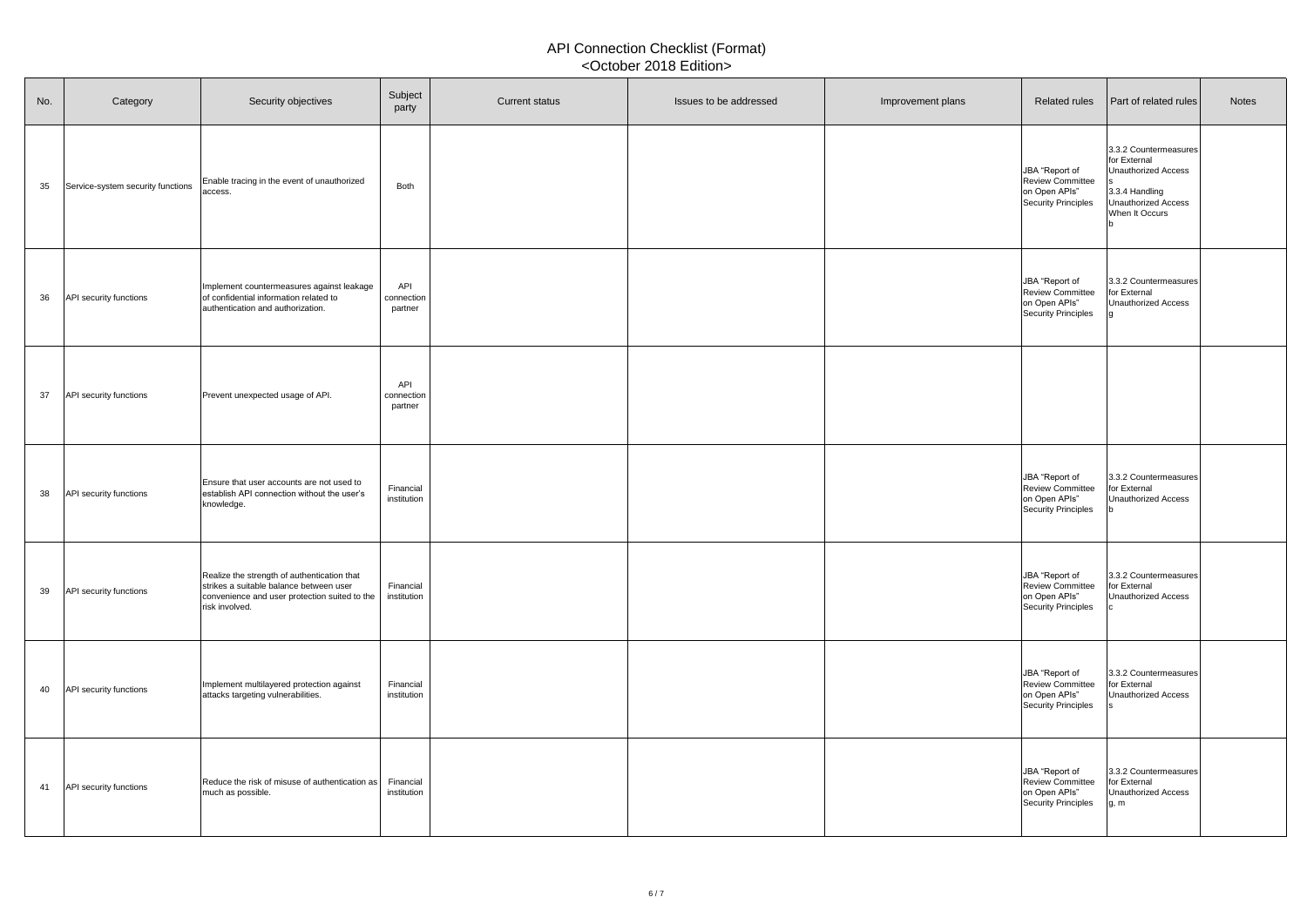| No. | Category                          | Security objectives                                                                                                                                         | Subject<br>party             | <b>Current status</b> | Issues to be addressed | Improvement plans | <b>Related rules</b>                                                              | <b>Part of related rules</b>                                                                                                   | <b>Notes</b> |
|-----|-----------------------------------|-------------------------------------------------------------------------------------------------------------------------------------------------------------|------------------------------|-----------------------|------------------------|-------------------|-----------------------------------------------------------------------------------|--------------------------------------------------------------------------------------------------------------------------------|--------------|
| 35  | Service-system security functions | Enable tracing in the event of unauthorized<br>access.                                                                                                      | <b>Both</b>                  |                       |                        |                   | JBA "Report of<br><b>Review Committee</b><br>on Open APIs"<br>Security Principles | 3.3.2 Countermeasures<br>for External<br>Unauthorized Access<br>3.3.4 Handling<br><b>Unauthorized Access</b><br>When It Occurs |              |
| 36  | <b>API</b> security functions     | Implement countermeasures against leakage<br>of confidential information related to<br>authentication and authorization.                                    | API<br>connection<br>partner |                       |                        |                   | JBA "Report of<br><b>Review Committee</b><br>on Open APIs"<br>Security Principles | 3.3.2 Countermeasures<br>for External<br><b>Unauthorized Access</b>                                                            |              |
| 37  | <b>API</b> security functions     | Prevent unexpected usage of API.                                                                                                                            | API<br>connection<br>partner |                       |                        |                   |                                                                                   |                                                                                                                                |              |
| 38  | <b>API</b> security functions     | Ensure that user accounts are not used to<br>establish API connection without the user's<br>knowledge.                                                      | Financial<br>institution     |                       |                        |                   | JBA "Report of<br><b>Review Committee</b><br>on Open APIs"<br>Security Principles | 3.3.2 Countermeasures<br>for External<br><b>Unauthorized Access</b>                                                            |              |
| 39  | <b>API</b> security functions     | Realize the strength of authentication that<br>strikes a suitable balance between user<br>convenience and user protection suited to the  <br>risk involved. | Financial<br>institution     |                       |                        |                   | JBA "Report of<br><b>Review Committee</b><br>on Open APIs"<br>Security Principles | 3.3.2 Countermeasures<br>for External<br><b>Unauthorized Access</b>                                                            |              |
| 40  | <b>API</b> security functions     | Implement multilayered protection against<br>attacks targeting vulnerabilities.                                                                             | Financial<br>institution     |                       |                        |                   | JBA "Report of<br>Review Committee<br>on Open APIs"<br>Security Principles        | 3.3.2 Countermeasures<br>for External<br><b>Unauthorized Access</b>                                                            |              |
| 41  | <b>API</b> security functions     | Reduce the risk of misuse of authentication as  <br>much as possible.                                                                                       | Financial<br>institution     |                       |                        |                   | JBA "Report of<br>Review Committee<br>on Open APIs"<br>Security Principles        | 3.3.2 Countermeasures<br>for External<br><b>Unauthorized Access</b><br>g, m                                                    |              |